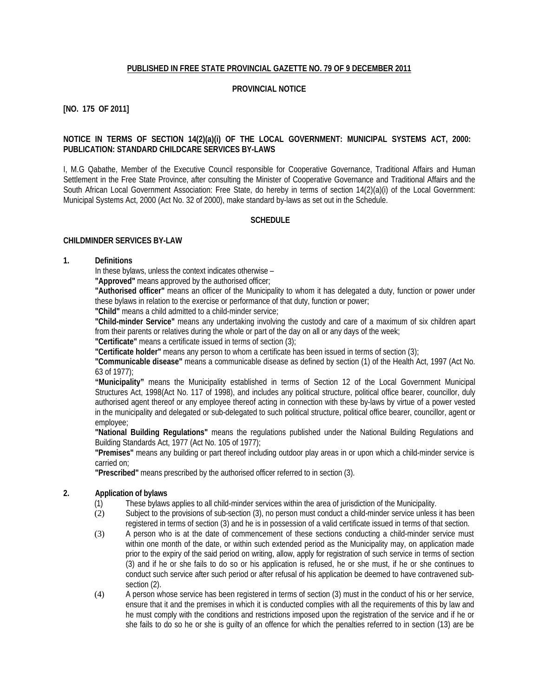### **PUBLISHED IN FREE STATE PROVINCIAL GAZETTE NO. 79 OF 9 DECEMBER 2011**

#### **PROVINCIAL NOTICE**

**[NO. 175 OF 2011]**

### **NOTICE IN TERMS OF SECTION 14(2)(a)(i) OF THE LOCAL GOVERNMENT: MUNICIPAL SYSTEMS ACT, 2000: PUBLICATION: STANDARD CHILDCARE SERVICES BY-LAWS**

I, M.G Qabathe, Member of the Executive Council responsible for Cooperative Governance, Traditional Affairs and Human Settlement in the Free State Province, after consulting the Minister of Cooperative Governance and Traditional Affairs and the South African Local Government Association: Free State, do hereby in terms of section 14(2)(a)(i) of the Local Government: Municipal Systems Act, 2000 (Act No. 32 of 2000), make standard by-laws as set out in the Schedule.

### **SCHEDULE**

#### **CHILDMINDER SERVICES BY-LAW**

### **1. Definitions**

In these bylaws, unless the context indicates otherwise –

**"Approved"** means approved by the authorised officer;

**"Authorised officer"** means an officer of the Municipality to whom it has delegated a duty, function or power under these bylaws in relation to the exercise or performance of that duty, function or power;

**"Child"** means a child admitted to a child-minder service;

**"Child-minder Service"** means any undertaking involving the custody and care of a maximum of six children apart from their parents or relatives during the whole or part of the day on all or any days of the week;

**"Certificate"** means a certificate issued in terms of section (3);

**"Certificate holder"** means any person to whom a certificate has been issued in terms of section (3);

**"Communicable disease"** means a communicable disease as defined by section (1) of the Health Act, 1997 (Act No. 63 of 1977);

**"Municipality"** means the Municipality established in terms of Section 12 of the Local Government Municipal Structures Act, 1998(Act No. 117 of 1998), and includes any political structure, political office bearer, councillor, duly authorised agent thereof or any employee thereof acting in connection with these by-laws by virtue of a power vested in the municipality and delegated or sub-delegated to such political structure, political office bearer, councillor, agent or employee;

**"National Building Regulations"** means the regulations published under the National Building Regulations and Building Standards Act, 1977 (Act No. 105 of 1977);

**"Premises"** means any building or part thereof including outdoor play areas in or upon which a child-minder service is carried on;

**"Prescribed"** means prescribed by the authorised officer referred to in section (3).

### **2. Application of bylaws**

- (1) These bylaws applies to all child-minder services within the area of jurisdiction of the Municipality.<br>(2) Subject to the provisions of sub-section (3), no person must conduct a child-minder service unless
- Subject to the provisions of sub-section (3), no person must conduct a child-minder service unless it has been registered in terms of section (3) and he is in possession of a valid certificate issued in terms of that section.
- (3) A person who is at the date of commencement of these sections conducting a child-minder service must within one month of the date, or within such extended period as the Municipality may, on application made prior to the expiry of the said period on writing, allow, apply for registration of such service in terms of section (3) and if he or she fails to do so or his application is refused, he or she must, if he or she continues to conduct such service after such period or after refusal of his application be deemed to have contravened subsection (2).
- (4) A person whose service has been registered in terms of section (3) must in the conduct of his or her service, ensure that it and the premises in which it is conducted complies with all the requirements of this by law and he must comply with the conditions and restrictions imposed upon the registration of the service and if he or she fails to do so he or she is guilty of an offence for which the penalties referred to in section (13) are be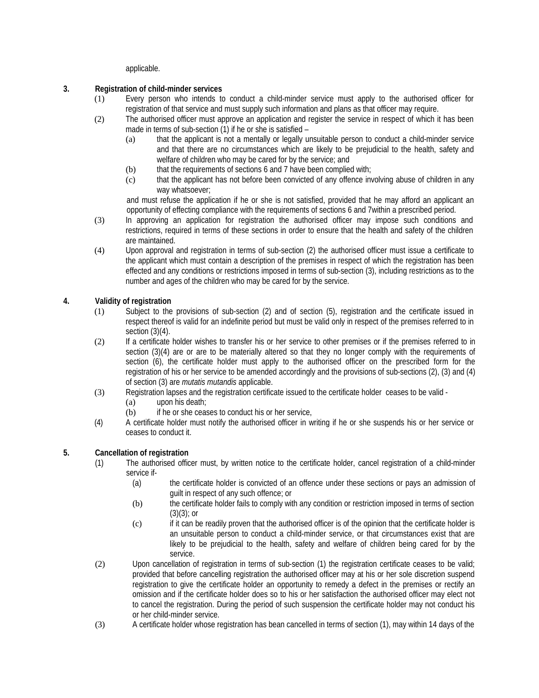applicable.

### **3. Registration of child-minder services**

- (1) Every person who intends to conduct a child-minder service must apply to the authorised officer for registration of that service and must supply such information and plans as that officer may require.
- (2) The authorised officer must approve an application and register the service in respect of which it has been made in terms of sub-section (1) if he or she is satisfied –
	- (a) that the applicant is not a mentally or legally unsuitable person to conduct a child-minder service and that there are no circumstances which are likely to be prejudicial to the health, safety and welfare of children who may be cared for by the service; and
	- (b) that the requirements of sections 6 and 7 have been complied with;
	- (c) that the applicant has not before been convicted of any offence involving abuse of children in any way whatsoever;

and must refuse the application if he or she is not satisfied, provided that he may afford an applicant an opportunity of effecting compliance with the requirements of sections 6 and 7within a prescribed period.

- (3) In approving an application for registration the authorised officer may impose such conditions and restrictions, required in terms of these sections in order to ensure that the health and safety of the children are maintained.
- (4) Upon approval and registration in terms of sub-section (2) the authorised officer must issue a certificate to the applicant which must contain a description of the premises in respect of which the registration has been effected and any conditions or restrictions imposed in terms of sub-section (3), including restrictions as to the number and ages of the children who may be cared for by the service.

# **4. Validity of registration**

- (1) Subject to the provisions of sub-section (2) and of section (5), registration and the certificate issued in respect thereof is valid for an indefinite period but must be valid only in respect of the premises referred to in section  $(3)(4)$ .
- (2) If a certificate holder wishes to transfer his or her service to other premises or if the premises referred to in section (3)(4) are or are to be materially altered so that they no longer comply with the requirements of section (6), the certificate holder must apply to the authorised officer on the prescribed form for the registration of his or her service to be amended accordingly and the provisions of sub-sections (2), (3) and (4) of section (3) are *mutatis mutandis* applicable.
- (3) Registration lapses and the registration certificate issued to the certificate holder ceases to be valid
	- (a) upon his death;
	- (b) if he or she ceases to conduct his or her service,
- (4) A certificate holder must notify the authorised officer in writing if he or she suspends his or her service or ceases to conduct it.

# **5. Cancellation of registration**

- (1) The authorised officer must, by written notice to the certificate holder, cancel registration of a child-minder service if-
	- (a) the certificate holder is convicted of an offence under these sections or pays an admission of guilt in respect of any such offence; or
	- (b) the certificate holder fails to comply with any condition or restriction imposed in terms of section  $(3)(3)$ ; or
	- (c) if it can be readily proven that the authorised officer is of the opinion that the certificate holder is an unsuitable person to conduct a child-minder service, or that circumstances exist that are likely to be prejudicial to the health, safety and welfare of children being cared for by the service.
- (2) Upon cancellation of registration in terms of sub-section (1) the registration certificate ceases to be valid; provided that before cancelling registration the authorised officer may at his or her sole discretion suspend registration to give the certificate holder an opportunity to remedy a defect in the premises or rectify an omission and if the certificate holder does so to his or her satisfaction the authorised officer may elect not to cancel the registration. During the period of such suspension the certificate holder may not conduct his or her child-minder service.
- (3) A certificate holder whose registration has bean cancelled in terms of section (1), may within 14 days of the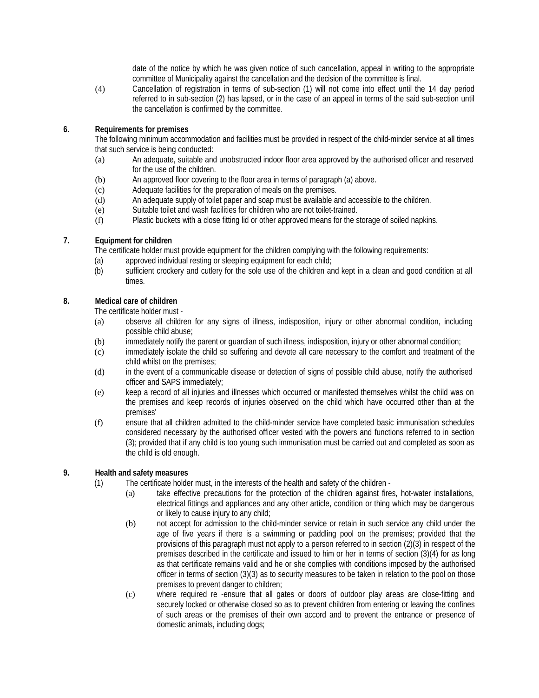date of the notice by which he was given notice of such cancellation, appeal in writing to the appropriate committee of Municipality against the cancellation and the decision of the committee is final.

(4) Cancellation of registration in terms of sub-section (1) will not come into effect until the 14 day period referred to in sub-section (2) has lapsed, or in the case of an appeal in terms of the said sub-section until the cancellation is confirmed by the committee.

## **6. Requirements for premises**

The following minimum accommodation and facilities must be provided in respect of the child-minder service at all times that such service is being conducted:

- (a) An adequate, suitable and unobstructed indoor floor area approved by the authorised officer and reserved for the use of the children.
- (b) An approved floor covering to the floor area in terms of paragraph (a) above.
- (c) Adequate facilities for the preparation of meals on the premises.
- (d) An adequate supply of toilet paper and soap must be available and accessible to the children.
- (e) Suitable toilet and wash facilities for children who are not toilet-trained.
- (f) Plastic buckets with a close fitting lid or other approved means for the storage of soiled napkins.

### **7. Equipment for children**

The certificate holder must provide equipment for the children complying with the following requirements:

- (a) approved individual resting or sleeping equipment for each child;
- (b) sufficient crockery and cutlery for the sole use of the children and kept in a clean and good condition at all times.

## **8. Medical care of children**

The certificate holder must -

- (a) observe all children for any signs of illness, indisposition, injury or other abnormal condition, including possible child abuse;
- (b) immediately notify the parent or guardian of such illness, indisposition, injury or other abnormal condition;
- (c) immediately isolate the child so suffering and devote all care necessary to the comfort and treatment of the child whilst on the premises;
- (d) in the event of a communicable disease or detection of signs of possible child abuse, notify the authorised officer and SAPS immediately;
- (e) keep a record of all injuries and illnesses which occurred or manifested themselves whilst the child was on the premises and keep records of injuries observed on the child which have occurred other than at the premises'
- (f) ensure that all children admitted to the child-minder service have completed basic immunisation schedules considered necessary by the authorised officer vested with the powers and functions referred to in section (3); provided that if any child is too young such immunisation must be carried out and completed as soon as the child is old enough.

# **9. Health and safety measures**

- (1) The certificate holder must, in the interests of the health and safety of the children
	- (a) take effective precautions for the protection of the children against fires, hot-water installations, electrical fittings and appliances and any other article, condition or thing which may be dangerous or likely to cause injury to any child;
	- (b) not accept for admission to the child-minder service or retain in such service any child under the age of five years if there is a swimming or paddling pool on the premises; provided that the provisions of this paragraph must not apply to a person referred to in section (2)(3) in respect of the premises described in the certificate and issued to him or her in terms of section (3)(4) for as long as that certificate remains valid and he or she complies with conditions imposed by the authorised officer in terms of section (3)(3) as to security measures to be taken in relation to the pool on those premises to prevent danger to children;
	- (c) where required re -ensure that all gates or doors of outdoor play areas are close-fitting and securely locked or otherwise closed so as to prevent children from entering or leaving the confines of such areas or the premises of their own accord and to prevent the entrance or presence of domestic animals, including dogs;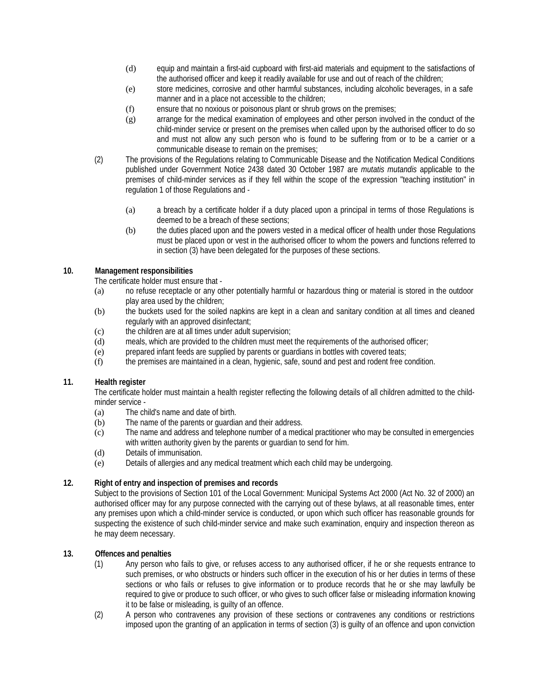- (d) equip and maintain a first-aid cupboard with first-aid materials and equipment to the satisfactions of the authorised officer and keep it readily available for use and out of reach of the children;
- (e) store medicines, corrosive and other harmful substances, including alcoholic beverages, in a safe manner and in a place not accessible to the children;
- (f) ensure that no noxious or poisonous plant or shrub grows on the premises;
- (g) arrange for the medical examination of employees and other person involved in the conduct of the child-minder service or present on the premises when called upon by the authorised officer to do so and must not allow any such person who is found to be suffering from or to be a carrier or a communicable disease to remain on the premises;
- (2) The provisions of the Regulations relating to Communicable Disease and the Notification Medical Conditions published under Government Notice 2438 dated 30 October 1987 are *mutatis mutandis* applicable to the premises of child-minder services as if they fell within the scope of the expression "teaching institution" in regulation 1 of those Regulations and -
	- (a) a breach by a certificate holder if a duty placed upon a principal in terms of those Regulations is deemed to be a breach of these sections;
	- (b) the duties placed upon and the powers vested in a medical officer of health under those Regulations must be placed upon or vest in the authorised officer to whom the powers and functions referred to in section (3) have been delegated for the purposes of these sections.

# **10. Management responsibilities**

The certificate holder must ensure that -

- (a) no refuse receptacle or any other potentially harmful or hazardous thing or material is stored in the outdoor play area used by the children;
- (b) the buckets used for the soiled napkins are kept in a clean and sanitary condition at all times and cleaned regularly with an approved disinfectant;
- (c) the children are at all times under adult supervision;
- (d) meals, which are provided to the children must meet the requirements of the authorised officer;
- (e) prepared infant feeds are supplied by parents or guardians in bottles with covered teats;
- (f) the premises are maintained in a clean, hygienic, safe, sound and pest and rodent free condition.

# **11. Health register**

The certificate holder must maintain a health register reflecting the following details of all children admitted to the childminder service -

- (a) The child's name and date of birth.
- (b) The name of the parents or guardian and their address.
- (c) The name and address and telephone number of a medical practitioner who may be consulted in emergencies with written authority given by the parents or guardian to send for him.
- (d) Details of immunisation.
- (e) Details of allergies and any medical treatment which each child may be undergoing.

# **12. Right of entry and inspection of premises and records**

Subject to the provisions of Section 101 of the Local Government: Municipal Systems Act 2000 (Act No. 32 of 2000) an authorised officer may for any purpose connected with the carrying out of these bylaws, at all reasonable times, enter any premises upon which a child-minder service is conducted, or upon which such officer has reasonable grounds for suspecting the existence of such child-minder service and make such examination, enquiry and inspection thereon as he may deem necessary.

# **13. Offences and penalties**

- (1) Any person who fails to give, or refuses access to any authorised officer, if he or she requests entrance to such premises, or who obstructs or hinders such officer in the execution of his or her duties in terms of these sections or who fails or refuses to give information or to produce records that he or she may lawfully be required to give or produce to such officer, or who gives to such officer false or misleading information knowing it to be false or misleading, is guilty of an offence.
- (2) A person who contravenes any provision of these sections or contravenes any conditions or restrictions imposed upon the granting of an application in terms of section (3) is guilty of an offence and upon conviction